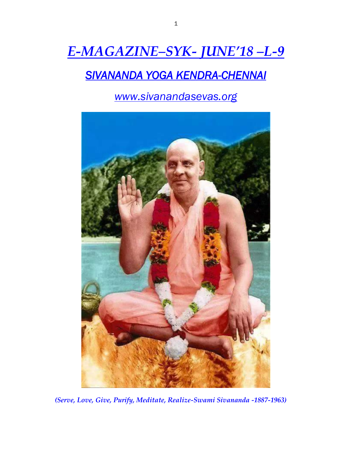# *E-MAGAZINE–SYK- JUNE'18 –L-9*

## *SIVANANDA YOGA KENDRA-CHENNAI*

*www.sivanandasevas.org*



*(Serve, Love, Give, Purify, Meditate, Realize-Swami Sivananda -1887-1963)*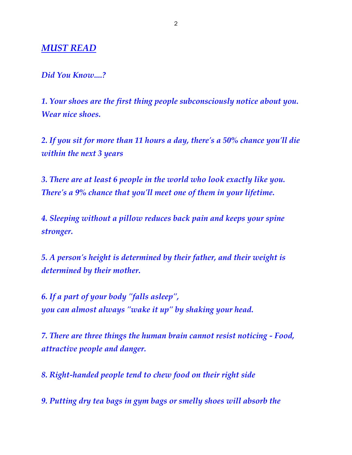#### *MUST READ*

#### *Did You Know....?*

*1. Your shoes are the first thing people subconsciously notice about you. Wear nice shoes.*

*2. If you sit for more than 11 hours a day, there's a 50% chance you'll die within the next 3 years*

*3. There are at least 6 people in the world who look exactly like you. There's a 9% chance that you'll meet one of them in your lifetime.*

*4. Sleeping without a pillow reduces back pain and keeps your spine stronger.*

*5. A person's height is determined by their father, and their weight is determined by their mother.*

*6. If a part of your body "falls asleep", you can almost always "wake it up" by shaking your head.*

*7. There are three things the human brain cannot resist noticing - Food, attractive people and danger.*

*8. Right-handed people tend to chew food on their right side*

*9. Putting dry tea bags in gym bags or smelly shoes will absorb the*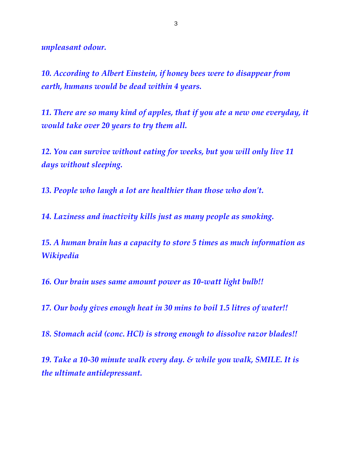*unpleasant odour.*

*10. According to Albert Einstein, if honey bees were to disappear from earth, humans would be dead within 4 years.*

*11. There are so many kind of apples, that if you ate a new one everyday, it would take over 20 years to try them all.*

*12. You can survive without eating for weeks, but you will only live 11 days without sleeping.*

*13. People who laugh a lot are healthier than those who don't.*

*14. Laziness and inactivity kills just as many people as smoking.*

*15. A human brain has a capacity to store 5 times as much information as Wikipedia*

*16. Our brain uses same amount power as 10-watt light bulb!!*

*17. Our body gives enough heat in 30 mins to boil 1.5 litres of water!!*

*18. Stomach acid (conc. HCl) is strong enough to dissolve razor blades!!*

*19. Take a 10-30 minute walk every day. & while you walk, SMILE. It is the ultimate antidepressant.*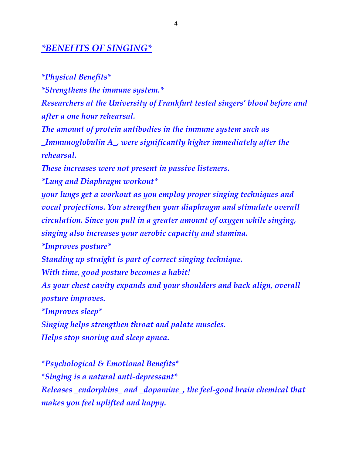#### *\*BENEFITS OF SINGING\**

*\*Physical Benefits\* \*Strengthens the immune system.\* Researchers at the University of Frankfurt tested singers' blood before and after a one hour rehearsal. The amount of protein antibodies in the immune system such as \_Immunoglobulin A\_, were significantly higher immediately after the rehearsal. These increases were not present in passive listeners. \*Lung and Diaphragm workout\* your lungs get a workout as you employ proper singing techniques and vocal projections. You strengthen your diaphragm and stimulate overall circulation. Since you pull in a greater amount of oxygen while singing, singing also increases your aerobic capacity and stamina. \*Improves posture\* Standing up straight is part of correct singing technique. With time, good posture becomes a habit! As your chest cavity expands and your shoulders and back align, overall posture improves. \*Improves sleep\* Singing helps strengthen throat and palate muscles. Helps stop snoring and sleep apnea.*

*\*Psychological & Emotional Benefits\* \*Singing is a natural anti-depressant\* Releases \_endorphins\_ and \_dopamine\_, the feel-good brain chemical that makes you feel uplifted and happy.*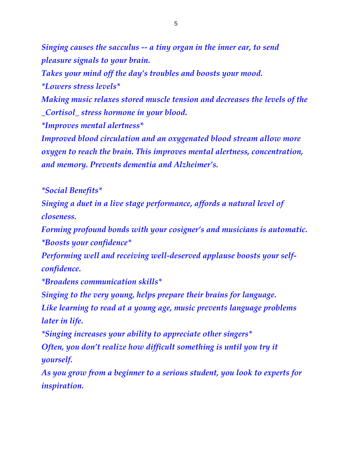*Singing causes the sacculus -- a tiny organ in the inner ear, to send pleasure signals to your brain. Takes your mind off the day's troubles and boosts your mood. \*Lowers stress levels\* Making music relaxes stored muscle tension and decreases the levels of the \_Cortisol\_ stress hormone in your blood. \*Improves mental alertness\* Improved blood circulation and an oxygenated blood stream allow more oxygen to reach the brain. This improves mental alertness, concentration, and memory. Prevents dementia and Alzheimer's.*

*\*Social Benefits\**

*Singing a duet in a live stage performance, affords a natural level of closeness.*

*Forming profound bonds with your cosigner's and musicians is automatic. \*Boosts your confidence\**

*Performing well and receiving well-deserved applause boosts your selfconfidence.*

*\*Broadens communication skills\**

*Singing to the very young, helps prepare their brains for language.*

*Like learning to read at a young age, music prevents language problems later in life.*

*\*Singing increases your ability to appreciate other singers\**

*Often, you don't realize how difficult something is until you try it yourself.*

*As you grow from a beginner to a serious student, you look to experts for inspiration.*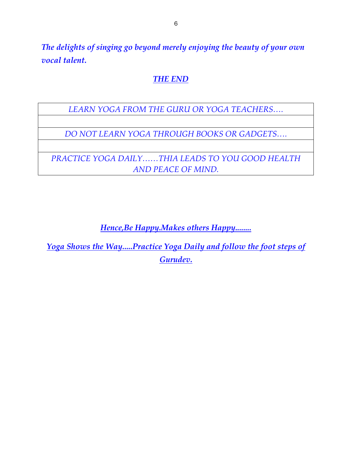*The delights of singing go beyond merely enjoying the beauty of your own vocal talent.*

#### *THE END*

*LEARN YOGA FROM THE GURU OR YOGA TEACHERS….*

*DO NOT LEARN YOGA THROUGH BOOKS OR GADGETS….*

*PRACTICE YOGA DAILY……THIA LEADS TO YOU GOOD HEALTH AND PEACE OF MIND.*

*Hence,Be Happy.Makes others Happy........*

*Yoga Shows the Way.....Practice Yoga Daily and follow the foot steps of Gurudev.*